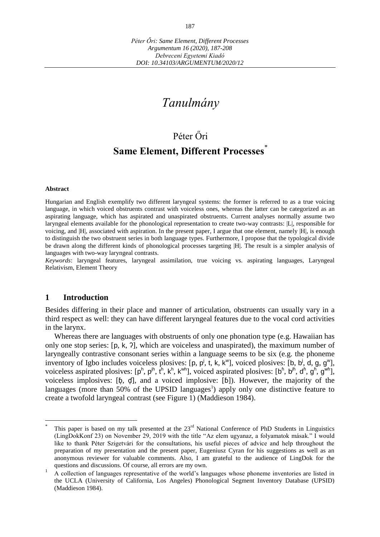# *Tanulmány*

## Péter Őri

### **Same Element, Different Processes**<sup>\*</sup>

#### **Abstract**

Hungarian and English exemplify two different laryngeal systems: the former is referred to as a true voicing language, in which voiced obstruents contrast with voiceless ones, whereas the latter can be categorized as an aspirating language, which has aspirated and unaspirated obstruents. Current analyses normally assume two laryngeal elements available for the phonological representation to create two-way contrasts: [L], responsible for voicing, and |H|, associated with aspiration. In the present paper, I argue that one element, namely |H|, is enough to distinguish the two obstruent series in both language types. Furthermore, I propose that the typological divide be drawn along the different kinds of phonological processes targeting |H|. The result is a simpler analysis of languages with two-way laryngeal contrasts.

*Keywords*: laryngeal features, laryngeal assimilation, true voicing vs. aspirating languages, Laryngeal Relativism, Element Theory

#### **1 Introduction**

 $\overline{a}$ 

Besides differing in their place and manner of articulation, obstruents can usually vary in a third respect as well: they can have different laryngeal features due to the vocal cord activities in the larynx.

Whereas there are languages with obstruents of only one phonation type (e.g. Hawaiian has only one stop series: [p, k, ʔ], which are voiceless and unaspirated), the maximum number of laryngeally contrastive consonant series within a language seems to be six (e.g. the phoneme inventory of Igbo includes voiceless plosives: [p, p<sup>j</sup>, t, k, k<sup>w</sup>], voiced plosives: [b, b<sup>j</sup>, d, g, g<sup>w</sup>], voiceless aspirated plosives:  $[p^h, p^{ih}, t^h, k^{h}, k^{wh}]$ , voiced aspirated plosives:  $[b^h, b^{jh}, d^h, g^h, g^{wh}]$ , voiceless implosives:  $[\phi, \phi]$ , and a voiced implosive:  $[\phi]$ ). However, the majority of the languages (more than 50% of the UPSID languages<sup>1</sup>) apply only one distinctive feature to create a twofold laryngeal contrast (see Figure 1) (Maddieson 1984).

<sup>\*</sup> This paper is based on my talk presented at the 23<sup>rd</sup> National Conference of PhD Students in Linguistics (LingDokKonf 23) on November 29, 2019 with the title "Az elem ugyanaz, a folyamatok másak." I would like to thank Péter Szigetvári for the consultations, his useful pieces of advice and help throughout the preparation of my presentation and the present paper, Eugeniusz Cyran for his suggestions as well as an anonymous reviewer for valuable comments. Also, I am grateful to the audience of LingDok for the questions and discussions. Of course, all errors are my own.

 $\frac{1}{1}$  A collection of languages representative of the world's languages whose phoneme inventories are listed in the UCLA (University of California, Los Angeles) Phonological Segment Inventory Database (UPSID) (Maddieson 1984).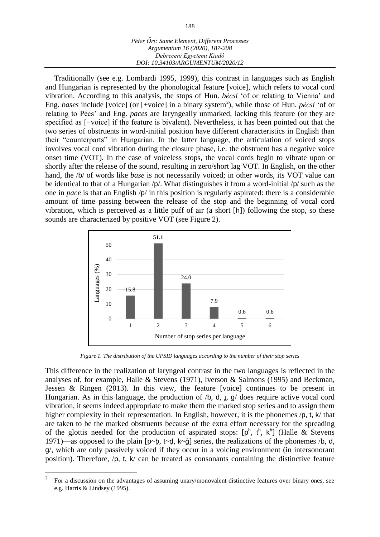| Péter Őri: Same Element, Different Processes |
|----------------------------------------------|
| Argumentum 16 (2020), 187-208                |
| Debreceni Egyetemi Kiadó                     |
| DOI: 10.34103/ARGUMENTUM/2020/12             |

Traditionally (see e.g. Lombardi 1995, 1999), this contrast in languages such as English and Hungarian is represented by the phonological feature [voice], which refers to vocal cord vibration. According to this analysis, the stops of Hun. *bécsi* 'of or relating to Vienna' and Eng. *bases* include [voice] (or [+voice] in a binary system<sup>2</sup>), while those of Hun. *pécsi* 'of or relating to Pécs' and Eng. *paces* are laryngeally unmarked, lacking this feature (or they are specified as [−voice] if the feature is bivalent). Nevertheless, it has been pointed out that the two series of obstruents in word-initial position have different characteristics in English than their "counterparts" in Hungarian. In the latter language, the articulation of voiced stops involves vocal cord vibration during the closure phase, i.e. the obstruent has a negative voice onset time (VOT). In the case of voiceless stops, the vocal cords begin to vibrate upon or shortly after the release of the sound, resulting in zero/short lag VOT. In English, on the other hand, the /b/ of words like *base* is not necessarily voiced; in other words, its VOT value can be identical to that of a Hungarian /p/. What distinguishes it from a word-initial /p/ such as the one in *pace* is that an English /p/ in this position is regularly aspirated: there is a considerable amount of time passing between the release of the stop and the beginning of vocal cord vibration, which is perceived as a little puff of air (a short [h]) following the stop, so these sounds are characterized by positive VOT (see Figure 2).



*Figure 1. The distribution of the UPSID languages according to the number of their stop series*

This difference in the realization of laryngeal contrast in the two languages is reflected in the analyses of, for example, Halle & Stevens (1971), Iverson & Salmons (1995) and Beckman, Jessen & Ringen (2013). In this view, the feature [voice] continues to be present in Hungarian. As in this language, the production of  $/b$ , d,  $\mu$ ,  $g/d$  does require active vocal cord vibration, it seems indeed appropriate to make them the marked stop series and to assign them higher complexity in their representation. In English, however, it is the phonemes  $/p$ , t, k/ that are taken to be the marked obstruents because of the extra effort necessary for the spreading of the glottis needed for the production of aspirated stops:  $[p^h, t^h, k^h]$  (Halle & Stevens 1971)—as opposed to the plain  $[p \sim b, t \sim d, k \sim g]$  series, the realizations of the phonemes /b, d, g/, which are only passively voiced if they occur in a voicing environment (in intersonorant position). Therefore,  $/p$ , t,  $k/$  can be treated as consonants containing the distinctive feature

<sup>2</sup> For a discussion on the advantages of assuming unary/monovalent distinctive features over binary ones, see e.g. Harris & Lindsey (1995).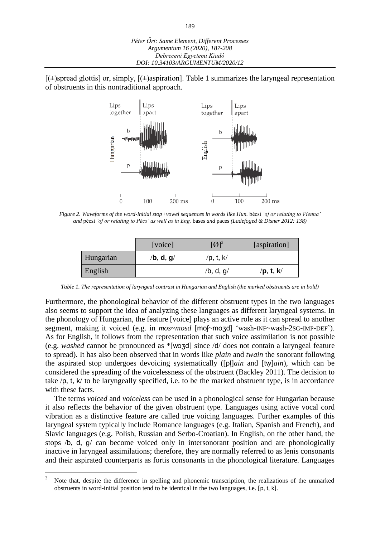$[(\pm)$ spread glottis] or, simply,  $[(\pm)$ aspiration]. Table 1 summarizes the laryngeal representation of obstruents in this nontraditional approach.



*Figure 2. Waveforms of the word-initial stop+vowel sequences in words like Hun.* bécsi *'of or relating to Vienna' and* pécsi *'of or relating to Pécs' as well as in Eng.* bases *and* paces *(Ladefoged & Disner 2012: 138)*

|           | [voice]   | $\left[\!\left[{\cal O}\right]\!\right]^3$ | [aspiration] |
|-----------|-----------|--------------------------------------------|--------------|
| Hungarian | /b, d, g/ | $/p,$ t, k $\prime$                        |              |
| English   |           | /b, d, $g/$                                | /p, t, k/    |

*Table 1. The representation of laryngeal contrast in Hungarian and English (the marked obstruents are in bold)*

Furthermore, the phonological behavior of the different obstruent types in the two languages also seems to support the idea of analyzing these languages as different laryngeal systems. In the phonology of Hungarian, the feature [voice] plays an active role as it can spread to another segment, making it voiced (e.g. in  $mos \sim mosd$  [mo[~moʒd] 'wash-INF~wash-2sG-IMP-DEF'). As for English, it follows from the representation that such voice assimilation is not possible (e.g. *washed* cannot be pronounced as \*[wɔʒ ] since /d/ does not contain a laryngeal feature to spread). It has also been observed that in words like *plain* and *twain* the sonorant following the aspirated stop undergoes devoicing systematically ([p]*ain* and [tw*]ain*), which can be considered the spreading of the voicelessness of the obstruent (Backley 2011). The decision to take /p, t, k/ to be laryngeally specified, i.e. to be the marked obstruent type, is in accordance with these facts.

The terms *voiced* and *voiceless* can be used in a phonological sense for Hungarian because it also reflects the behavior of the given obstruent type. Languages using active vocal cord vibration as a distinctive feature are called true voicing languages. Further examples of this laryngeal system typically include Romance languages (e.g. Italian, Spanish and French), and Slavic languages (e.g. Polish, Russian and Serbo-Croatian). In English, on the other hand, the stops /b, d, g/ can become voiced only in intersonorant position and are phonologically inactive in laryngeal assimilations; therefore, they are normally referred to as lenis consonants and their aspirated counterparts as fortis consonants in the phonological literature. Languages

 $\overline{\mathbf{3}}$ <sup>3</sup> Note that, despite the difference in spelling and phonemic transcription, the realizations of the unmarked obstruents in word-initial position tend to be identical in the two languages, i.e. [p, t, k].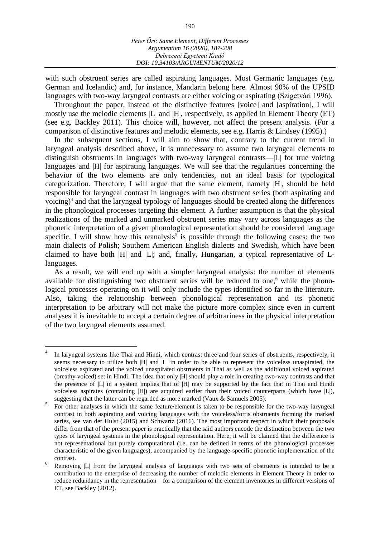with such obstruent series are called aspirating languages. Most Germanic languages (e.g. German and Icelandic) and, for instance, Mandarin belong here. Almost 90% of the UPSID languages with two-way laryngeal contrasts are either voicing or aspirating (Szigetvári 1996).

Throughout the paper, instead of the distinctive features [voice] and [aspiration], I will mostly use the melodic elements |L| and |H|, respectively, as applied in Element Theory (ET) (see e.g. Backley 2011). This choice will, however, not affect the present analysis. (For a comparison of distinctive features and melodic elements, see e.g. Harris & Lindsey (1995).)

In the subsequent sections, I will aim to show that, contrary to the current trend in laryngeal analysis described above, it is unnecessary to assume two laryngeal elements to distinguish obstruents in languages with two-way laryngeal contrasts—|L| for true voicing languages and  $|H|$  for aspirating languages. We will see that the regularities concerning the behavior of the two elements are only tendencies, not an ideal basis for typological categorization. Therefore, I will argue that the same element, namely |H|, should be held responsible for laryngeal contrast in languages with two obstruent series (both aspirating and voicing) 4 and that the laryngeal typology of languages should be created along the differences in the phonological processes targeting this element. A further assumption is that the physical realizations of the marked and unmarked obstruent series may vary across languages as the phonetic interpretation of a given phonological representation should be considered language specific. I will show how this reanalysis<sup>5</sup> is possible through the following cases: the two main dialects of Polish; Southern American English dialects and Swedish, which have been claimed to have both |H| and |L|; and, finally, Hungarian, a typical representative of Llanguages.

As a result, we will end up with a simpler laryngeal analysis: the number of elements available for distinguishing two obstruent series will be reduced to one, $6$  while the phonological processes operating on it will only include the types identified so far in the literature. Also, taking the relationship between phonological representation and its phonetic interpretation to be arbitrary will not make the picture more complex since even in current analyses it is inevitable to accept a certain degree of arbitrariness in the physical interpretation of the two laryngeal elements assumed.

<sup>4</sup> In laryngeal systems like Thai and Hindi, which contrast three and four series of obstruents, respectively, it seems necessary to utilize both |H| and |L| in order to be able to represent the voiceless unaspirated, the voiceless aspirated and the voiced unaspirated obstruents in Thai as well as the additional voiced aspirated (breathy voiced) set in Hindi. The idea that only |H| should play a role in creating two-way contrasts and that the presence of |L| in a system implies that of |H| may be supported by the fact that in Thai and Hindi voiceless aspirates (containing |H|) are acquired earlier than their voiced counterparts (which have |L|), suggesting that the latter can be regarded as more marked (Vaux & Samuels 2005).

<sup>5</sup> For other analyses in which the same feature/element is taken to be responsible for the two-way laryngeal contrast in both aspirating and voicing languages with the voiceless/fortis obstruents forming the marked series, see van der Hulst (2015) and Schwartz (2016). The most important respect in which their proposals differ from that of the present paper is practically that the said authors encode the distinction between the two types of laryngeal systems in the phonological representation. Here, it will be claimed that the difference is not representational but purely computational (i.e. can be defined in terms of the phonological processes characteristic of the given languages), accompanied by the language-specific phonetic implementation of the contrast.

<sup>6</sup> Removing |L| from the laryngeal analysis of languages with two sets of obstruents is intended to be a contribution to the enterprise of decreasing the number of melodic elements in Element Theory in order to reduce redundancy in the representation—for a comparison of the element inventories in different versions of ET, see Backley (2012).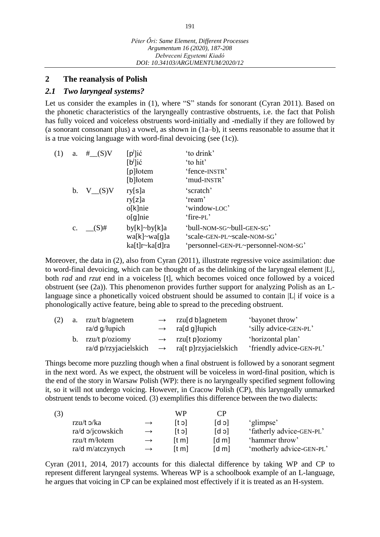### **2 The reanalysis of Polish**

#### *2.1 Two laryngeal systems?*

Let us consider the examples in (1), where "S" stands for sonorant (Cyran 2011). Based on the phonetic characteristics of the laryngeally contrastive obstruents, i.e. the fact that Polish has fully voiced and voiceless obstruents word-initially and -medially if they are followed by (a sonorant consonant plus) a vowel, as shown in (1a–b), it seems reasonable to assume that it is a true voicing language with word-final devoicing (see (1c)).

| (1) | a.          | #__(S)V    | $[p^j]$ ić     | 'to drink'                          |
|-----|-------------|------------|----------------|-------------------------------------|
|     |             |            | $[b^j]$ ić     | 'to hit'                            |
|     |             |            | [p] łotem      | 'fence-INSTR'                       |
|     |             |            | [b] lotem      | 'mud-INSTR'                         |
|     |             | b. $V(G)V$ | ry[s]a         | 'scratch'                           |
|     |             |            | ry[z]a         | 'ream'                              |
|     |             |            | $o[k]$ nie     | 'window-LOC'                        |
|     |             |            | $o[g]$ nie     | 'fire-PL'                           |
|     | $c_{\cdot}$ | $(S)$ #    | by[k]~by[k]a   | 'bull-NOM-SG~bull-GEN-SG'           |
|     |             |            | wa[k]~wa[g]a   | 'scale-GEN-PL~scale-NOM-SG'         |
|     |             |            | ka[t]r~ka[d]ra | 'personnel-GEN-PL~personnel-NOM-SG' |

Moreover, the data in (2), also from Cyran (2011), illustrate regressive voice assimilation: due to word-final devoicing, which can be thought of as the delinking of the laryngeal element |L|, both *rad* and *rzut* end in a voiceless [t], which becomes voiced once followed by a voiced obstruent (see (2a)). This phenomenon provides further support for analyzing Polish as an Llanguage since a phonetically voiced obstruent should be assumed to contain |L| if voice is a phonologically active feature, being able to spread to the preceding obstruent.

| (2) | a. rzu/t b/agnetem    | $\rightarrow$ rzusd b agnetem                    | 'bayonet throw'          |
|-----|-----------------------|--------------------------------------------------|--------------------------|
|     | $ra/d$ g/lupich       | $\rightarrow$ ra[d g] lupich                     | 'silly advice-GEN-PL'    |
|     | b. rzu/t $p/oziomy$   | $\rightarrow$ rzu <sup>[t p</sup> ]oziomy        | 'horizontal plan'        |
|     | ra/d p/rzyjacielskich | $\rightarrow$ ra <sup>[t p]</sup> rzyjacielskich | 'friendly advice-GEN-PL' |

Things become more puzzling though when a final obstruent is followed by a sonorant segment in the next word. As we expect, the obstruent will be voiceless in word-final position, which is the end of the story in Warsaw Polish (WP): there is no laryngeally specified segment following it, so it will not undergo voicing. However, in Cracow Polish (CP), this laryngeally unmarked obstruent tends to become voiced. (3) exemplifies this difference between the two dialects:

| (3)                |               | WP                |                               |                          |
|--------------------|---------------|-------------------|-------------------------------|--------------------------|
| rzu/t $\sigma$ /ka | $\rightarrow$ | lc 11             | ld bl                         | 'glimpse'                |
| ra/d o/jcowskich   | $\rightarrow$ | [t ɔ]             | $\lceil d \rceil$             | 'fatherly advice-GEN-PL' |
| rzu/t m/łotem      | $\rightarrow$ | [t <sub>m</sub> ] | $\lceil d \, \text{m} \rceil$ | 'hammer throw'           |
| ra/d m/atczynych   |               | [t m]             | $\lceil d \, \text{m} \rceil$ | 'motherly advice-GEN-PL' |

Cyran (2011, 2014, 2017) accounts for this dialectal difference by taking WP and CP to represent different laryngeal systems. Whereas WP is a schoolbook example of an L-language, he argues that voicing in CP can be explained most effectively if it is treated as an H-system.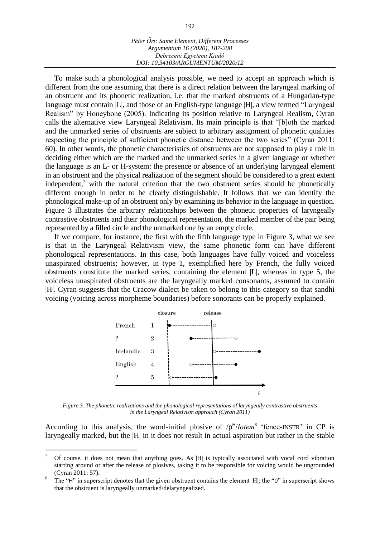To make such a phonological analysis possible, we need to accept an approach which is different from the one assuming that there is a direct relation between the laryngeal marking of an obstruent and its phonetic realization, i.e. that the marked obstruents of a Hungarian-type language must contain |L|, and those of an English-type language |H|, a view termed "Laryngeal" Realism" by Honeybone (2005). Indicating its position relative to Laryngeal Realism, Cyran calls the alternative view Laryngeal Relativism. Its main principle is that "[b]oth the marked and the unmarked series of obstruents are subject to arbitrary assignment of phonetic qualities respecting the principle of sufficient phonetic distance between the two series" (Cyran 2011: 60). In other words, the phonetic characteristics of obstruents are not supposed to play a role in deciding either which are the marked and the unmarked series in a given language or whether the language is an L- or H-system: the presence or absence of an underlying laryngeal element in an obstruent and the physical realization of the segment should be considered to a great extent independent,<sup>7</sup> with the natural criterion that the two obstruent series should be phonetically different enough in order to be clearly distinguishable. It follows that we can identify the phonological make-up of an obstruent only by examining its behavior in the language in question. Figure 3 illustrates the arbitrary relationships between the phonetic properties of laryngeally contrastive obstruents and their phonological representation, the marked member of the pair being represented by a filled circle and the unmarked one by an empty circle.

If we compare, for instance, the first with the fifth language type in Figure 3, what we see is that in the Laryngeal Relativism view, the same phonetic form can have different phonological representations. In this case, both languages have fully voiced and voiceless unaspirated obstruents; however, in type 1, exemplified here by French, the fully voiced obstruents constitute the marked series, containing the element |L|, whereas in type 5, the voiceless unaspirated obstruents are the laryngeally marked consonants, assumed to contain |H|. Cyran suggests that the Cracow dialect be taken to belong to this category so that sandhi voicing (voicing across morpheme boundaries) before sonorants can be properly explained.



*Figure 3. The phonetic realizations and the phonological representations of laryngeally contrastive obstruents in the Laryngeal Relativism approach (Cyran 2011)*

According to this analysis, the word-initial plosive of /p<sup>H</sup>/*lotem*<sup>8</sup> 'fence-INSTR' in CP is laryngeally marked, but the |H| in it does not result in actual aspiration but rather in the stable

<sup>7</sup> Of course, it does not mean that anything goes. As |H| is typically associated with vocal cord vibration starting around or after the release of plosives, taking it to be responsible for voicing would be ungrounded (Cyran 2011: 57).

<sup>8</sup> The "H" in superscript denotes that the given obstruent contains the element |H|; the "0" in superscript shows that the obstruent is laryngeally unmarked/delaryngealized.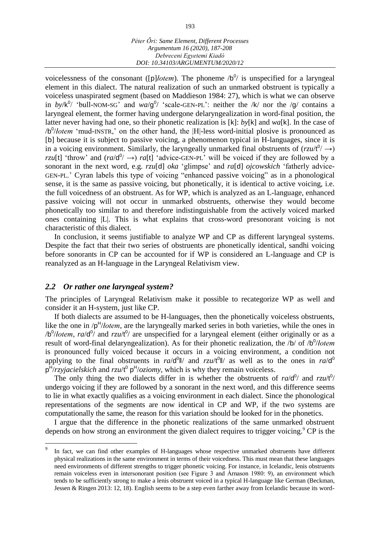voicelessness of the consonant ([p]*lotem*). The phoneme  $/b^0$  is unspecified for a laryngeal element in this dialect. The natural realization of such an unmarked obstruent is typically a voiceless unaspirated segment (based on Maddieson 1984: 27), which is what we can observe in *by*/k<sup>0</sup>/ 'bull-NOM-SG' and *wa*/g<sup>0</sup>/ 'scale-GEN-PL': neither the /k/ nor the /g/ contains a laryngeal element, the former having undergone delaryngealization in word-final position, the latter never having had one, so their phonetic realization is [k]: *by*[k] and *wa*[k]. In the case of /b 0 /*łotem* 'mud-INSTR,' on the other hand, the |H|-less word-initial plosive is pronounced as [b] because it is subject to passive voicing, a phenomenon typical in H-languages, since it is in a voicing environment. Similarly, the laryngeally unmarked final obstruents of  $(rzu/t^0/ \rightarrow)$ *rzu*[t] 'throw' and  $\left(\frac{ra}{d^0}\right) \rightarrow$  *ra*[t] 'advice-GEN-PL' will be voiced if they are followed by a sonorant in the next word, e.g. *rzu*[d] *oka* 'glimpse' and *ra*[d] *ojcowskich* 'fatherly advice-GEN-PL.' Cyran labels this type of voicing "enhanced passive voicing" as in a phonological sense, it is the same as passive voicing, but phonetically, it is identical to active voicing, i.e. the full voicedness of an obstruent. As for WP, which is analyzed as an L-language, enhanced passive voicing will not occur in unmarked obstruents, otherwise they would become phonetically too similar to and therefore indistinguishable from the actively voiced marked ones containing |L|. This is what explains that cross-word presonorant voicing is not characteristic of this dialect.

In conclusion, it seems justifiable to analyze WP and CP as different laryngeal systems. Despite the fact that their two series of obstruents are phonetically identical, sandhi voicing before sonorants in CP can be accounted for if WP is considered an L-language and CP is reanalyzed as an H-language in the Laryngeal Relativism view.

#### *2.2 Or rather one laryngeal system?*

 $\overline{a}$ 

The principles of Laryngeal Relativism make it possible to recategorize WP as well and consider it an H-system, just like CP.

If both dialects are assumed to be H-languages, then the phonetically voiceless obstruents, like the one in /p<sup>H</sup>/*lotem*, are the laryngeally marked series in both varieties, while the ones in /b<sup>0</sup>/*lotem*, *ra*/d<sup>0</sup>/ and *rzu/t*<sup>0</sup>/ are unspecified for a laryngeal element (either originally or as a result of word-final delaryngealization). As for their phonetic realization, the /b/ of /b<sup>0</sup>/*lotem* is pronounced fully voiced because it occurs in a voicing environment, a condition not applying to the final obstruents in  $ra/d^0$  and  $rzu/t^0$  as well as to the ones in  $ra/d^0$ p H /*rzyjacielskich* and *rzu*/t 0 p H /*oziomy*, which is why they remain voiceless.

The only thing the two dialects differ in is whether the obstruents of  $ra/d^0$  and  $rzu/t^0$ undergo voicing if they are followed by a sonorant in the next word, and this difference seems to lie in what exactly qualifies as a voicing environment in each dialect. Since the phonological representations of the segments are now identical in CP and WP, if the two systems are computationally the same, the reason for this variation should be looked for in the phonetics.

I argue that the difference in the phonetic realizations of the same unmarked obstruent depends on how strong an environment the given dialect requires to trigger voicing.<sup>9</sup> CP is the

<sup>9</sup> In fact, we can find other examples of H-languages whose respective unmarked obstruents have different physical realizations in the same environment in terms of their voicedness. This must mean that these languages need environments of different strengths to trigger phonetic voicing. For instance, in Icelandic, lenis obstruents remain voiceless even in intersonorant position (see Figure 3 and Árnason 1980: 9), an environment which tends to be sufficiently strong to make a lenis obstruent voiced in a typical H-language like German (Beckman, Jessen & Ringen 2013: 12, 18). English seems to be a step even farther away from Icelandic because its word-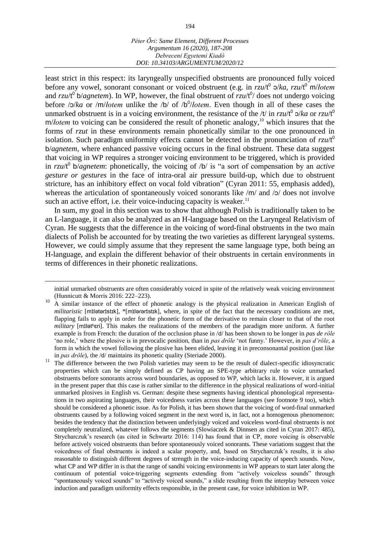least strict in this respect: its laryngeally unspecified obstruents are pronounced fully voiced before any vowel, sonorant consonant or voiced obstruent (e.g. in *rzu*/t<sup>0</sup>  $\Delta/ka$ , *rzu*/t<sup>0</sup> m/*łotem* and *rzu/t*<sup>0</sup> b/*agnetem*). In WP, however, the final obstruent of *rzu/t*<sup>0</sup>/ does not undergo voicing before /ɔ/*ka* or /m/*łotem* unlike the /b/ of /b 0 /*łotem*. Even though in all of these cases the unmarked obstruent is in a voicing environment, the resistance of the /t/ in *rzu*/t<sup>0</sup>  $\frac{1}{2}$ /*ka* or *rzu*/t<sup>0</sup> m/*lotem* to voicing can be considered the result of phonetic analogy,<sup>10</sup> which insures that the forms of *rzut* in these environments remain phonetically similar to the one pronounced in isolation. Such paradigm uniformity effects cannot be detected in the pronunciation of *rzu*/t 0 b/*agnetem*, where enhanced passive voicing occurs in the final obstruent. These data suggest that voicing in WP requires a stronger voicing environment to be triggered, which is provided in *rzu*/t 0 b/*agnetem*: phonetically, the voicing of /b/ is "a sort of compensation by an *active gesture or gestures* in the face of intra-oral air pressure build-up, which due to obstruent stricture, has an inhibitory effect on vocal fold vibration" (Cyran 2011: 55, emphasis added), whereas the articulation of spontaneously voiced sonorants like  $/m/$  and  $/2/$  does not involve such an active effort, i.e. their voice-inducing capacity is weaker.<sup>11</sup>

In sum, my goal in this section was to show that although Polish is traditionally taken to be an L-language, it can also be analyzed as an H-language based on the Laryngeal Relativism of Cyran. He suggests that the difference in the voicing of word-final obstruents in the two main dialects of Polish be accounted for by treating the two varieties as different laryngeal systems. However, we could simply assume that they represent the same language type, both being an H-language, and explain the different behavior of their obstruents in certain environments in terms of differences in their phonetic realizations.

initial unmarked obstruents are often considerably voiced in spite of the relatively weak voicing environment (Hunnicutt & Morris 2016: 222–223).

<sup>&</sup>lt;sup>10</sup> A similar instance of the effect of phonetic analogy is the physical realization in American English of militaristic [milotoristik], \*[milororistik], where, in spite of the fact that the necessary conditions are met, flapping fails to apply in order for the phonetic form of the derivative to remain closer to that of the root *military* [milet<sup>h</sup>eri]. This makes the realizations of the members of the paradigm more uniform. A further example is from French: the duration of the occlusion phase in /d/ has been shown to be longer in *pas de rôle* 'no role,' where the plosive is in prevocalic position, than in *pas drôle* 'not funny.' However, in *pas d'rôle*, a form in which the vowel following the plosive has been elided, leaving it in preconsonantal position (just like in *pas drôle*), the /d/ maintains its phonetic quality (Steriade 2000).

<sup>&</sup>lt;sup>11</sup> The difference between the two Polish varieties may seem to be the result of dialect-specific idiosyncratic properties which can be simply defined as CP having an SPE-type arbitrary rule to voice unmarked obstruents before sonorants across word boundaries, as opposed to WP, which lacks it. However, it is argued in the present paper that this case is rather similar to the difference in the physical realizations of word-initial unmarked plosives in English vs. German: despite these segments having identical phonological representations in two aspirating languages, their voicedness varies across these languages (see footnote 9 too), which should be considered a phonetic issue. As for Polish, it has been shown that the voicing of word-final unmarked obstruents caused by a following voiced segment in the next word is, in fact, not a homogenous phenomenon: besides the tendency that the distinction between underlyingly voiced and voiceless word-final obstruents is not completely neutralized, whatever follows the segments (Slowiaczek & Dinnsen as cited in Cyran 2017: 485), Strycharczuk's research (as cited in Schwartz 2016: 114) has found that in CP, more voicing is observable before actively voiced obstruents than before spontaneously voiced sonorants. These variations suggest that the voicedness of final obstruents is indeed a scalar property, and, based on Strycharczuk's results, it is also reasonable to distinguish different degrees of strength in the voice-inducing capacity of speech sounds. Now, what CP and WP differ in is that the range of sandhi voicing environments in WP appears to start later along the continuum of potential voice-triggering segments extending from "actively voiceless sounds" through "spontaneously voiced sounds" to "actively voiced sounds," a slide resulting from the interplay between voice induction and paradigm uniformity effects responsible, in the present case, for voice inhibition in WP.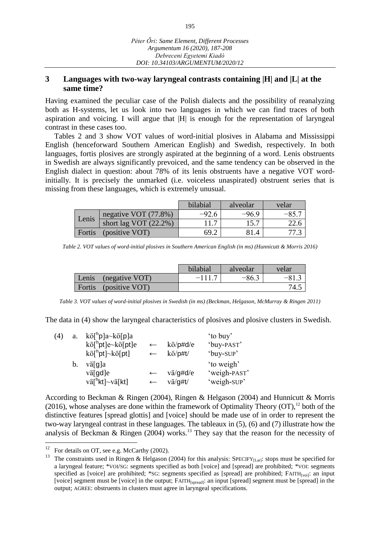### **3 Languages with two-way laryngeal contrasts containing |H| and |L| at the same time?**

Having examined the peculiar case of the Polish dialects and the possibility of reanalyzing both as H-systems, let us look into two languages in which we can find traces of both aspiration and voicing. I will argue that |H| is enough for the representation of laryngeal contrast in these cases too.

Tables 2 and 3 show VOT values of word-initial plosives in Alabama and Mississippi English (henceforward Southern American English) and Swedish, respectively. In both languages, fortis plosives are strongly aspirated at the beginning of a word. Lenis obstruents in Swedish are always significantly prevoiced, and the same tendency can be observed in the English dialect in question: about 78% of its lenis obstruents have a negative VOT wordinitially. It is precisely the unmarked (i.e. voiceless unaspirated) obstruent series that is missing from these languages, which is extremely unusual.

|        |                          | bilabial | alveolar | velar  |
|--------|--------------------------|----------|----------|--------|
| Lenis  | negative VOT (77.8%)     | $-92.6$  | $-96.9$  | $-85.$ |
|        | short lag VOT $(22.2\%)$ |          | 15.7     |        |
| Fortis | (positive VOT)           | 69.      |          |        |

*Table 2. VOT values of word-initial plosives in Southern American English (in ms) (Hunnicutt & Morris 2016)*

|                         | bilabial | alveolar | velar |
|-------------------------|----------|----------|-------|
| (negative VOT)<br>Lenis | $-111.7$ | $-86.3$  |       |
| Fortis (positive VOT)   |          |          | 74.5  |

*Table 3. VOT values of word-initial plosives in Swedish (in ms) (Beckman, Helgason, McMurray & Ringen 2011)*

The data in (4) show the laryngeal characteristics of plosives and plosive clusters in Swedish.

| (4) | a. | kö <sup>[h</sup> p]a~kö[p]a                              |              |          | 'to buy'     |
|-----|----|----------------------------------------------------------|--------------|----------|--------------|
|     |    | $k\ddot{\mathrm{o}}[^hpt]$ e~ $k\ddot{\mathrm{o}}[pt]$ e | $\leftarrow$ | kö/p#d/e | 'buy-PAST'   |
|     |    | $k\ddot{\mathrm{o}}[^hpt] \sim k\ddot{\mathrm{o}}[pt]$   | $\leftarrow$ | kö/p#t/  | 'buy-SUP'    |
|     | b. | vä[g]a                                                   |              |          | 'to weigh'   |
|     |    | vä[gd]e                                                  | $\leftarrow$ | vä/g#d/e | 'weigh-PAST' |
|     |    | vä <sup>[h</sup> kt]~vä[kt]                              | $\leftarrow$ | vä/g#t/  | 'weigh-SUP'  |

According to Beckman & Ringen (2004), Ringen & Helgason (2004) and Hunnicutt & Morris (2016), whose analyses are done within the framework of Optimality Theory  $(OT)^{12}$  both of the distinctive features [spread glottis] and [voice] should be made use of in order to represent the two-way laryngeal contrast in these languages. The tableaux in (5), (6) and (7) illustrate how the analysis of Beckman & Ringen  $(2004)$  works.<sup>13</sup> They say that the reason for the necessity of

 $12\,$ For details on OT, see e.g. McCarthy (2002).

<sup>&</sup>lt;sup>13</sup> The constraints used in Ringen & Helgason (2004) for this analysis: SPECIFY<sub>[Lar]</sub>: stops must be specified for a laryngeal feature; \*VOI/SG: segments specified as both [voice] and [spread] are prohibited; \*VOI: segments specified as [voice] are prohibited; \*SG: segments specified as [spread] are prohibited; FAITH<sub>[voi]</sub>: an input [voice] segment must be [voice] in the output; FAITH<sub>[spread]</sub>: an input [spread] segment must be [spread] in the output; AGREE: obstruents in clusters must agree in laryngeal specifications.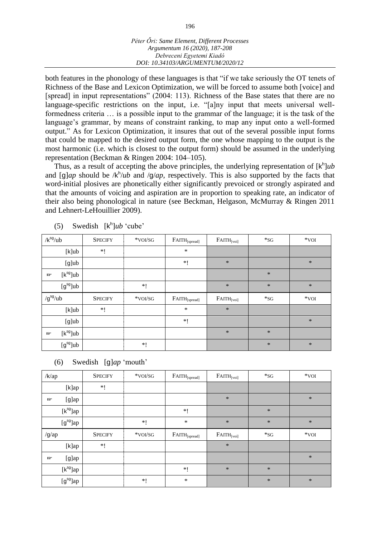both features in the phonology of these languages is that "if we take seriously the OT tenets of Richness of the Base and Lexicon Optimization, we will be forced to assume both [voice] and [spread] in input representations" (2004: 113). Richness of the Base states that there are no language-specific restrictions on the input, i.e. "[a]ny input that meets universal wellformedness criteria … is a possible input to the grammar of the language; it is the task of the language's grammar, by means of constraint ranking, to map any input onto a well-formed output." As for Lexicon Optimization, it insures that out of the several possible input forms that could be mapped to the desired output form, the one whose mapping to the output is the most harmonic (i.e. which is closest to the output form) should be assumed in the underlying representation (Beckman & Ringen 2004: 104–105).

Thus, as a result of accepting the above principles, the underlying representation of [k<sup>h</sup>]ub and [g]*ap* should be /k<sup>h</sup>/*ub* and /g/*ap*, respectively. This is also supported by the facts that word-initial plosives are phonetically either significantly prevoiced or strongly aspirated and that the amounts of voicing and aspiration are in proportion to speaking rate, an indicator of their also being phonological in nature (see Beckman, Helgason, McMurray & Ringen 2011 and Lehnert-LeHouillier 2009).

| $/k^{sg}/ub$                | <b>SPECIFY</b> | *VOI/SG | $FAITH_{[spread]}$ | $FATTH$ <sub>[voi]</sub> | $*_{SG}$ | $*$ VOI |
|-----------------------------|----------------|---------|--------------------|--------------------------|----------|---------|
| $[k]$ ub                    | $*!$           |         | $\ast$             |                          |          |         |
| $[g]$ ub                    |                |         | $*!$               | $\ast$                   |          | $\ast$  |
| $[k^{sg}]$ ub<br><b>IGF</b> |                |         |                    |                          | $\ast$   |         |
| $[g^{sg}]$ ub               |                | $*!$    |                    | $\ast$                   | $\ast$   | $\ast$  |
|                             |                |         |                    |                          |          |         |
| $/g^{sg}/ub$                | <b>SPECIFY</b> | *VOI/SG | $FAITH_{[spread]}$ | $FATTH$ <sub>[voi]</sub> | $*_{SG}$ | $*$ VOI |
| $[k]$ ub                    | $*!$           |         | $\ast$             | $\ast$                   |          |         |
| $[g]$ ub                    |                |         | $*!$               |                          |          | $\ast$  |
| $[k^{sg}]$ ub<br><b>IGF</b> |                |         |                    | $\ast$                   | $\ast$   |         |

(5) Swedish  $[k^h]$ *ub* 'cube'

(6) Swedish [g]*ap* 'mouth'

| $/k$ /ap         |               | <b>SPECIFY</b> | *VOI/SG  | $FAITH_{[spread]}$ | $FATTH$ <sub>[voi]</sub> | $*_{SG}$ | $*$ VOI |
|------------------|---------------|----------------|----------|--------------------|--------------------------|----------|---------|
|                  | [k]ap         | $*!$           |          |                    |                          |          |         |
| <b>LEF</b>       | $[g]$ ap      |                |          |                    | $\ast$                   |          | $\ast$  |
|                  | $[k^{sg}]$ ap |                |          | $*!$               |                          | $\ast$   |         |
|                  | $[g^{sg}]$ ap |                | $\ast$ [ | $\ast$             | $\ast$                   | $\ast$   | $\ast$  |
|                  |               |                |          |                    |                          |          |         |
| $/g$ /ap         |               | <b>SPECIFY</b> | *VOI/SG  | $FAITH_{[spread]}$ | $FATTH$ <sub>[voi]</sub> | $*_{SG}$ | $*VOI$  |
|                  | [k]ap         | $*!$           |          |                    | $\ast$                   |          |         |
| Lip <sup>1</sup> | $[g]$ ap      |                |          |                    |                          |          | $\ast$  |
|                  | $[k^{sg}]$ ap |                |          | $*!$               | $\ast$                   | $\ast$   |         |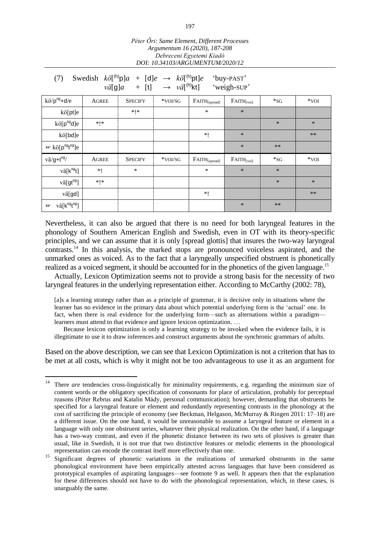| Swedish $k\ddot{o}[^{(h)}p]a + [d]e \rightarrow k\ddot{o}[^{(h)}pt]e$<br>(7)<br>'buy-PAST'<br>$v\ddot{a}[\mathsf{g}]a + [\mathsf{t}] \rightarrow v\ddot{a}[\mathsf{h}]\mathsf{k}\mathsf{t}$<br>'weigh-SUP' |              |                |         |                    |                          |          |        |  |  |
|------------------------------------------------------------------------------------------------------------------------------------------------------------------------------------------------------------|--------------|----------------|---------|--------------------|--------------------------|----------|--------|--|--|
| $k\ddot{o}/p^{sg}+d/e$                                                                                                                                                                                     | <b>AGREE</b> | <b>SPECIFY</b> | *VOI/SG | $FAITH_{[spread]}$ | $FATTH$ <sub>[voi]</sub> | $*_{SG}$ | $*VOI$ |  |  |
| kö[pt]e                                                                                                                                                                                                    |              | * *            |         | *                  | $\ast$                   |          |        |  |  |
| $k\ddot{o}$ [ $p^{sg}$ d]e                                                                                                                                                                                 | $*!*$        |                |         |                    |                          | *        | $\ast$ |  |  |
| kö[bd]e                                                                                                                                                                                                    |              |                |         | $*!$               | $\ast$                   |          | **     |  |  |
| $\mathbb{F}$ kö[p <sup>sg</sup> t <sup>sg</sup> ]e                                                                                                                                                         |              |                |         |                    | $\ast$                   | $***$    |        |  |  |
| $v\ddot{a}/g+t^{sg}/$                                                                                                                                                                                      | AGREE        | <b>SPECIFY</b> | *VOI/SG | $FAITH_{[spread]}$ | $FATTH$ <sub>[voi]</sub> | $*_{SG}$ | $*VOI$ |  |  |
| $v\ddot{a}$ [ $k^{sg}$ t]                                                                                                                                                                                  | $*!$         | $\ast$         |         | *                  | $\ast$                   | $\ast$   |        |  |  |
| vä[gt <sup>sg</sup> ]                                                                                                                                                                                      | $*$   $*$    |                |         |                    |                          | *        | $\ast$ |  |  |
| vä[gd]                                                                                                                                                                                                     |              |                |         | $*!$               |                          |          | $***$  |  |  |
| vä[k <sup>sg</sup> t <sup>sg</sup> ]<br>啼                                                                                                                                                                  |              |                |         |                    | $\ast$                   | $***$    |        |  |  |

Nevertheless, it can also be argued that there is no need for both laryngeal features in the phonology of Southern American English and Swedish, even in OT with its theory-specific principles, and we can assume that it is only [spread glottis] that insures the two-way laryngeal contrasts. <sup>14</sup> In this analysis, the marked stops are pronounced voiceless aspirated, and the unmarked ones as voiced. As to the fact that a laryngeally unspecified obstruent is phonetically realized as a voiced segment, it should be accounted for in the phonetics of the given language.<sup>15</sup>

Actually, Lexicon Optimization seems not to provide a strong basis for the necessity of two laryngeal features in the underlying representation either. According to McCarthy (2002: 78),

[a]s a learning strategy rather than as a principle of grammar, it is decisive only in situations where the learner has no evidence in the primary data about which potential underlying form is the 'actual' one. In fact, when there is real evidence for the underlying form—such as alternations within a paradigm learners must attend to that evidence and ignore lexicon optimization. …

Because lexicon optimization is only a learning strategy to be invoked when the evidence fails, it is illegitimate to use it to draw inferences and construct arguments about the synchronic grammars of adults.

Based on the above description, we can see that Lexicon Optimization is not a criterion that has to be met at all costs, which is why it might not be too advantageous to use it as an argument for

 $14$ <sup>14</sup> There *are* tendencies cross-linguistically for minimality requirements, e.g. regarding the minimum size of content words or the obligatory specification of consonants for place of articulation, probably for perceptual reasons (Péter Rebrus and Katalin Mády, personal communication); however, demanding that obstruents be specified for a laryngeal feature or element and redundantly representing contrasts in the phonology at the cost of sacrificing the principle of economy (see Beckman, Helgason, McMurray & Ringen 2011: 17–18) are a different issue. On the one hand, it would be unreasonable to assume a laryngeal feature or element in a language with only one obstruent series, whatever their physical realization. On the other hand, if a language has a two-way contrast, and even if the phonetic distance between its two sets of plosives is greater than usual, like in Swedish, it is not true that two distinctive features or melodic elements in the phonological representation can encode the contrast itself more effectively than one.

<sup>&</sup>lt;sup>15</sup> Significant degrees of phonetic variations in the realizations of unmarked obstruents in the same phonological environment have been empirically attested across languages that have been considered as prototypical examples of aspirating languages—see footnote 9 as well. It appears then that the explanation for these differences should not have to do with the phonological representation, which, in these cases, is unarguably the same.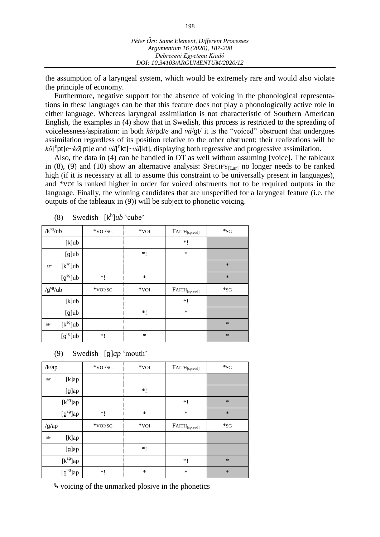the assumption of a laryngeal system, which would be extremely rare and would also violate the principle of economy.

Furthermore, negative support for the absence of voicing in the phonological representations in these languages can be that this feature does not play a phonologically active role in either language. Whereas laryngeal assimilation is not characteristic of Southern American English, the examples in (4) show that in Swedish, this process is restricted to the spreading of voicelessness/aspiration: in both *kö*/pd/*e* and *vä*/gt/ it is the "voiced" obstruent that undergoes assimilation regardless of its position relative to the other obstruent: their realizations will be kö[<sup>h</sup>pt]*e~kö*[pt]*e* and *vä*[<sup>h</sup>kt]~*vä*[kt], displaying both regressive and progressive assimilation.

Also, the data in (4) can be handled in OT as well without assuming [voice]. The tableaux in (8), (9) and (10) show an alternative analysis:  $SPECTF_{[Lar]}$  no longer needs to be ranked high (if it is necessary at all to assume this constraint to be universally present in languages), and \*VOI is ranked higher in order for voiced obstruents not to be required outputs in the language. Finally, the winning candidates that are unspecified for a laryngeal feature (i.e. the outputs of the tableaux in (9)) will be subject to phonetic voicing.

| $/k^{sg}/ub$                | *VOI/SG | $\ast$ VOI | $\text{FATH}_{[\text{spread}]}$ | $*_{SG}$ |
|-----------------------------|---------|------------|---------------------------------|----------|
| $[k]$ ub                    |         |            | $*!$                            |          |
| $[g]$ ub                    |         | $\ast$ !   | $\ast$                          |          |
| $[k^{sg}]$ ub<br><b>IGF</b> |         |            |                                 | $\ast$   |
| $[g^{sg}]$ ub               | *!      | $\ast$     |                                 | $\ast$   |
|                             |         |            |                                 |          |
| $/g^{sg}/ub$                | *VOI/SG | $*VOI$     | $\text{FATH}_{[\text{spread}]}$ | $*_{SG}$ |
| $[k]$ ub                    |         |            | *!                              |          |
| $[g]$ ub                    |         | *!         | $\ast$                          |          |
| $[k^{sg}]$ ub<br><b>F</b>   |         |            |                                 | $\ast$   |

(8) Swedish [k h ]*ub* 'cube'

#### (9) Swedish [g]*ap* 'mouth'

| $/k$ /ap  |               | *VOI/SG | $*VOI$  | $\text{FATH}_{[\text{spread}]}$ | $*_{SG}$ |
|-----------|---------------|---------|---------|---------------------------------|----------|
| 曰         | [k]ap         |         |         |                                 |          |
|           | $[g]$ ap      |         | *!      |                                 |          |
|           | $[k^{sg}]$ ap |         |         | $*!$                            | $\ast$   |
|           | $[g^{sg}]$ ap | $*!$    | $\ast$  | $\ast$                          | $\ast$   |
|           |               |         |         |                                 |          |
| $/g$ /ap  |               | *VOI/SG | $*$ voi | $\text{FATH}_{[\text{spread}]}$ | $*_{SG}$ |
| <b>IF</b> | [k]ap         |         |         |                                 |          |
|           | $[g]$ ap      |         | $*!$    |                                 |          |
|           | $[k^{sg}]$ ap |         |         | $*!$                            | $\ast$   |

⤷ voicing of the unmarked plosive in the phonetics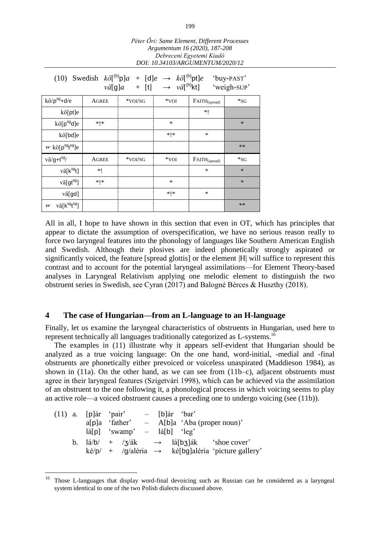|                                                                                                                                                                                                    | Argumentum 16 (2020), 187-208<br>Debreceni Egyetemi Kiadó<br>DOI: 10.34103/ARGUMENTUM/2020/12 |         |           |                                 |          |  |  |  |
|----------------------------------------------------------------------------------------------------------------------------------------------------------------------------------------------------|-----------------------------------------------------------------------------------------------|---------|-----------|---------------------------------|----------|--|--|--|
| (10) Swedish $k\ddot{o}[^{(h)}p]a + [d]e \rightarrow k\ddot{o}[^{(h)}pt]e$<br>'buy-PAST'<br>$v\ddot{a}[\mathbf{q}]a + [\mathbf{t}] \rightarrow v\ddot{a}[\mathbf{r}^{(h)}\mathbf{kt}]$ 'weigh-SUP' |                                                                                               |         |           |                                 |          |  |  |  |
| $k\ddot{o}/p^{sg}+d/e$                                                                                                                                                                             | AGREE                                                                                         | *VOI/SG | $*$ voi   | $\text{FATH}_{[\text{spread}]}$ | $*_{SG}$ |  |  |  |
| kö[pt]e                                                                                                                                                                                            |                                                                                               |         |           | *1                              |          |  |  |  |
| $k\ddot{o}$ [ $p^{sg}$ d]e                                                                                                                                                                         | *!*                                                                                           |         | ∗         |                                 | $\ast$   |  |  |  |
| kö[bd]e                                                                                                                                                                                            |                                                                                               |         | * *       | *                               |          |  |  |  |
| <sup>n</sup> kö[p <sup>sg</sup> t <sup>sg</sup> ]e                                                                                                                                                 |                                                                                               |         |           |                                 | $**$     |  |  |  |
| $v\ddot{a}/g+t^{sg}/$                                                                                                                                                                              | <b>AGREE</b>                                                                                  | *VOI/SG | $*$ voi   | $\text{FATH}_{[\text{spread}]}$ | $*_{SG}$ |  |  |  |
| vä[k <sup>sg</sup> t]                                                                                                                                                                              | *!                                                                                            |         |           | *                               | $\ast$   |  |  |  |
| vä[gt <sup>sg</sup> ]                                                                                                                                                                              | * *                                                                                           |         | ∗         |                                 | $\ast$   |  |  |  |
| vä[gd]                                                                                                                                                                                             |                                                                                               |         | $*$   $*$ | *                               |          |  |  |  |
| vä[k <sup>sg</sup> t <sup>sg</sup> ]<br>啼                                                                                                                                                          |                                                                                               |         |           |                                 | **       |  |  |  |

All in all, I hope to have shown in this section that even in OT, which has principles that appear to dictate the assumption of overspecification, we have no serious reason really to force two laryngeal features into the phonology of languages like Southern American English and Swedish. Although their plosives are indeed phonetically strongly aspirated or significantly voiced, the feature [spread glottis] or the element |H| will suffice to represent this contrast and to account for the potential laryngeal assimilations—for Element Theory-based analyses in Laryngeal Relativism applying one melodic element to distinguish the two obstruent series in Swedish, see Cyran (2017) and Balogné Bérces & Huszthy (2018).

#### **4 The case of Hungarian—from an L-language to an H-language**

Finally, let us examine the laryngeal characteristics of obstruents in Hungarian, used here to represent technically all languages traditionally categorized as L-systems.<sup>16</sup>

The examples in (11) illustrate why it appears self-evident that Hungarian should be analyzed as a true voicing language: On the one hand, word-initial, -medial and -final obstruents are phonetically either prevoiced or voiceless unaspirated (Maddieson 1984), as shown in (11a). On the other hand, as we can see from (11b–c), adjacent obstruents must agree in their laryngeal features (Szigetvári 1998), which can be achieved via the assimilation of an obstruent to the one following it, a phonological process in which voicing seems to play an active role—a voiced obstruent causes a preceding one to undergo voicing (see (11b)).

|  | $(11)$ a. [p] and 'pair'                                                                | $-$ [b]ar 'bar' |                                              |                                                                                          |
|--|-----------------------------------------------------------------------------------------|-----------------|----------------------------------------------|------------------------------------------------------------------------------------------|
|  |                                                                                         |                 | $a[p]a$ 'father' – A[b]a 'Aba (proper noun)' |                                                                                          |
|  | $\left[\frac{1}{2}   \rho  \right]$ 'swamp' – $\left[\frac{1}{2}   \rho  \right]$ 'leg' |                 |                                              |                                                                                          |
|  |                                                                                         |                 |                                              | b. $\frac{1}{a}/b$ + $\frac{7}{a}k \rightarrow \frac{1}{a}[\frac{b}{3}]a k$ 'shoe cover' |
|  |                                                                                         |                 |                                              | $k \dot{\epsilon}/p$ / + /g/aléria $\rightarrow$ ké[bg]aléria 'picture gallery'          |

<sup>16</sup> <sup>16</sup> Those L-languages that display word-final devoicing such as Russian can be considered as a laryngeal system identical to one of the two Polish dialects discussed above.

*Péter Őri: Same Element, Different Processes*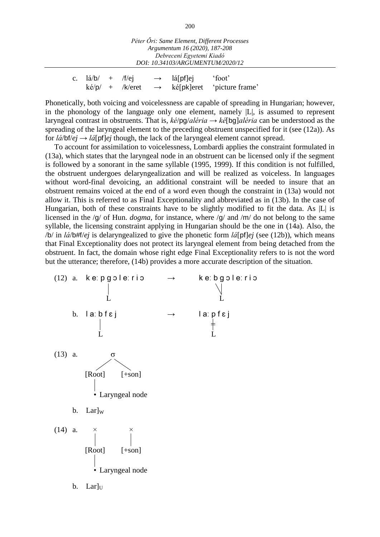| Péter Őri: Same Element, Different Processes<br>Argumentum 16 (2020), 187-208<br>Debreceni Egyetemi Kiadó<br>DOI: 10.34103/ARGUMENTUM/2020/12 |  |  |  |                        |                                                                             |  |
|-----------------------------------------------------------------------------------------------------------------------------------------------|--|--|--|------------------------|-----------------------------------------------------------------------------|--|
| c. $1a/b/ + /f/ej$                                                                                                                            |  |  |  | $\rightarrow$ lá[pf]ej | 'foot'<br>$k\acute{e}/p$ + /k/eret $\rightarrow$ ké[pk]eret 'picture frame' |  |

Phonetically, both voicing and voicelessness are capable of spreading in Hungarian; however, in the phonology of the language only one element, namely |L|, is assumed to represent laryngeal contrast in obstruents. That is, *ké*/pg/*aléria* → *ké*[bg]*aléria* can be understood as the spreading of the laryngeal element to the preceding obstruent unspecified for it (see (12a)). As for  $\frac{d}{\phi}$  /bf/*ej*  $\rightarrow$  *lá*[pf]*ej* though, the lack of the laryngeal element cannot spread.

To account for assimilation to voicelessness, Lombardi applies the constraint formulated in (13a), which states that the laryngeal node in an obstruent can be licensed only if the segment is followed by a sonorant in the same syllable (1995, 1999). If this condition is not fulfilled, the obstruent undergoes delaryngealization and will be realized as voiceless. In languages without word-final devoicing, an additional constraint will be needed to insure that an obstruent remains voiced at the end of a word even though the constraint in (13a) would not allow it. This is referred to as Final Exceptionality and abbreviated as in (13b). In the case of Hungarian, both of these constraints have to be slightly modified to fit the data. As  $|L|$  is licensed in the /g/ of Hun. *dogma*, for instance, where /g/ and /m/ do not belong to the same syllable, the licensing constraint applying in Hungarian should be the one in (14a). Also, the /b/ in *lá*/b#f/*ej* is delaryngealized to give the phonetic form *lá*[pf]*ej* (see (12b)), which means that Final Exceptionality does not protect its laryngeal element from being detached from the obstruent. In fact, the domain whose right edge Final Exceptionality refers to is not the word but the utterance; therefore, (14b) provides a more accurate description of the situation.



200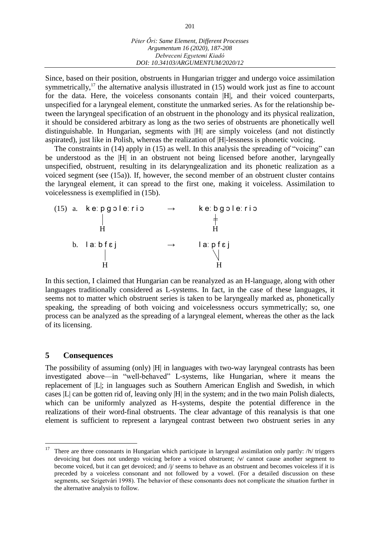Since, based on their position, obstruents in Hungarian trigger and undergo voice assimilation symmetrically,<sup>17</sup> the alternative analysis illustrated in (15) would work just as fine to account for the data. Here, the voiceless consonants contain |H|, and their voiced counterparts, unspecified for a laryngeal element, constitute the unmarked series. As for the relationship between the laryngeal specification of an obstruent in the phonology and its physical realization, it should be considered arbitrary as long as the two series of obstruents are phonetically well distinguishable. In Hungarian, segments with |H| are simply voiceless (and not distinctly aspirated), just like in Polish, whereas the realization of |H|-lessness is phonetic voicing.

The constraints in (14) apply in (15) as well. In this analysis the spreading of "voicing" can be understood as the |H| in an obstruent not being licensed before another, laryngeally unspecified, obstruent, resulting in its delaryngealization and its phonetic realization as a voiced segment (see (15a)). If, however, the second member of an obstruent cluster contains the laryngeal element, it can spread to the first one, making it voiceless. Assimilation to voicelessness is exemplified in (15b).

(15) a. ke:pgole:rio 
$$
\rightarrow
$$
 ke:bgole:rio  
\n $\parallel$   
\nH  
\nb. la: bfej  $\rightarrow$  la: pfej  
\n $\parallel$   
\nH  
\nH  
\nH

In this section, I claimed that Hungarian can be reanalyzed as an H-language, along with other languages traditionally considered as L-systems. In fact, in the case of these languages, it seems not to matter which obstruent series is taken to be laryngeally marked as, phonetically speaking, the spreading of both voicing and voicelessness occurs symmetrically; so, one process can be analyzed as the spreading of a laryngeal element, whereas the other as the lack of its licensing.

#### **5 Consequences**

The possibility of assuming (only) |H| in languages with two-way laryngeal contrasts has been investigated above—in "well-behaved" L-systems, like Hungarian, where it means the replacement of |L|; in languages such as Southern American English and Swedish, in which cases |L| can be gotten rid of, leaving only |H| in the system; and in the two main Polish dialects, which can be uniformly analyzed as H-systems, despite the potential difference in the realizations of their word-final obstruents. The clear advantage of this reanalysis is that one element is sufficient to represent a laryngeal contrast between two obstruent series in any

 $17\,$ <sup>17</sup> There are three consonants in Hungarian which participate in laryngeal assimilation only partly: /h/ triggers devoicing but does not undergo voicing before a voiced obstruent; /v/ cannot cause another segment to become voiced, but it can get devoiced; and /j/ seems to behave as an obstruent and becomes voiceless if it is preceded by a voiceless consonant and not followed by a vowel. (For a detailed discussion on these segments, see Szigetvári 1998). The behavior of these consonants does not complicate the situation further in the alternative analysis to follow.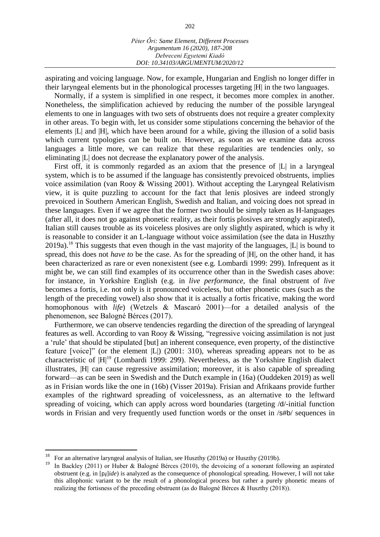202

aspirating and voicing language. Now, for example, Hungarian and English no longer differ in their laryngeal elements but in the phonological processes targeting |H| in the two languages.

Normally, if a system is simplified in one respect, it becomes more complex in another. Nonetheless, the simplification achieved by reducing the number of the possible laryngeal elements to one in languages with two sets of obstruents does not require a greater complexity in other areas. To begin with, let us consider some stipulations concerning the behavior of the elements |L| and |H|, which have been around for a while, giving the illusion of a solid basis which current typologies can be built on. However, as soon as we examine data across languages a little more, we can realize that these regularities are tendencies only, so eliminating |L| does not decrease the explanatory power of the analysis.

First off, it is commonly regarded as an axiom that the presence of  $|L|$  in a laryngeal system, which is to be assumed if the language has consistently prevoiced obstruents, implies voice assimilation (van Rooy & Wissing 2001). Without accepting the Laryngeal Relativism view, it is quite puzzling to account for the fact that lenis plosives are indeed strongly prevoiced in Southern American English, Swedish and Italian, and voicing does not spread in these languages. Even if we agree that the former two should be simply taken as H-languages (after all, it does not go against phonetic reality, as their fortis plosives are strongly aspirated), Italian still causes trouble as its voiceless plosives are only slightly aspirated, which is why it is reasonable to consider it an L-language without voice assimilation (see the data in Huszthy 2019a).<sup>18</sup> This suggests that even though in the vast majority of the languages,  $|L|$  is bound to spread, this does not *have to* be the case. As for the spreading of |H|, on the other hand, it has been characterized as rare or even nonexistent (see e.g. Lombardi 1999: 299). Infrequent as it might be, we can still find examples of its occurrence other than in the Swedish cases above: for instance, in Yorkshire English (e.g. in *live performance*, the final obstruent of *live* becomes a fortis, i.e. not only is it pronounced voiceless, but other phonetic cues (such as the length of the preceding vowel) also show that it is actually a fortis fricative, making the word homophonous with *life*) (Wetzels & Mascaró 2001)—for a detailed analysis of the phenomenon, see Balogné Bérces (2017).

Furthermore, we can observe tendencies regarding the direction of the spreading of laryngeal features as well. According to van Rooy & Wissing, "regressive voicing assimilation is not just a 'rule' that should be stipulated [but] an inherent consequence, even property, of the distinctive feature [voice]" (or the element |L|) (2001: 310), whereas spreading appears not to be as characteristic of |H|<sup>19</sup> (Lombardi 1999: 299). Nevertheless, as the Yorkshire English dialect illustrates, |H| can cause regressive assimilation; moreover, it is also capable of spreading forward—as can be seen in Swedish and the Dutch example in (16a) (Ouddeken 2019) as well as in Frisian words like the one in (16b) (Visser 2019a). Frisian and Afrikaans provide further examples of the rightward spreading of voicelessness, as an alternative to the leftward spreading of voicing, which can apply across word boundaries (targeting /d/-initial function words in Frisian and very frequently used function words or the onset in /s#b/ sequences in

<sup>&</sup>lt;sup>18</sup> For an alternative laryngeal analysis of Italian, see Huszthy (2019a) or Huszthy (2019b).<br><sup>19</sup> In Backley (2011) or Huber & Belogné Bérees (2010), the developing of a sonorant fo

In Backley (2011) or Huber & Balogné Bérces (2010), the devoicing of a sonorant following an aspirated obstruent (e.g. in [ ]*ide*) is analyzed as the consequence of phonological spreading. However, I will not take this allophonic variant to be the result of a phonological process but rather a purely phonetic means of realizing the fortisness of the preceding obstruent (as do Balogné Bérces & Huszthy (2018)).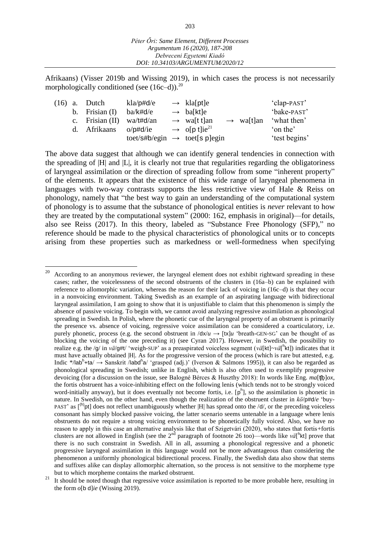Afrikaans) (Visser 2019b and Wissing 2019), in which cases the process is not necessarily morphologically conditioned (see  $(16c-d)$ ).<sup>20</sup>

|  | $(16)$ a. Dutch   | $kla/p \# d/e$                            | $\rightarrow$ klass help klass have been as |                       | 'clap-PAST'   |
|--|-------------------|-------------------------------------------|---------------------------------------------|-----------------------|---------------|
|  | b. Frisian $(I)$  | ba/k#d/e                                  | $\rightarrow$ ba[kt]e                       |                       | 'bake-PAST'   |
|  | c. Frisian $(II)$ | wa/t#d/an                                 | $\rightarrow$ walt t an                     | $\rightarrow$ walt]an | 'what then'   |
|  | d. Afrikaans      | $o$ /p#d/ie                               | $\rightarrow$ o[p t]ie <sup>21</sup>        |                       | 'on the'      |
|  |                   | toet/s#b/egin $\rightarrow$ toet[s p]egin |                                             |                       | 'test begins' |

The above data suggest that although we can identify general tendencies in connection with the spreading of  $|H|$  and  $|L|$ , it is clearly not true that regularities regarding the obligatoriness of laryngeal assimilation or the direction of spreading follow from some "inherent property" of the elements. It appears that the existence of this wide range of laryngeal phenomena in languages with two-way contrasts supports the less restrictive view of Hale & Reiss on phonology, namely that "the best way to gain an understanding of the computational system of phonology is to assume that the substance of phonological entities is *never* relevant to how they are treated by the computational system" (2000: 162, emphasis in original)—for details, also see Reiss (2017). In this theory, labeled as "Substance Free Phonology (SFP)," no reference should be made to the physical characteristics of phonological units or to concepts arising from these properties such as markedness or well-formedness when specifying

According to an anonymous reviewer, the laryngeal element does not exhibit rightward spreading in these cases; rather, the voicelessness of the second obstruents of the clusters in (16a–b) can be explained with reference to allomorphic variation, whereas the reason for their lack of voicing in (16c–d) is that they occur in a nonvoicing environment. Taking Swedish as an example of an aspirating language with bidirectional laryngeal assimilation, I am going to show that it is unjustifiable to claim that this phenomenon is simply the absence of passive voicing. To begin with, we cannot avoid analyzing regressive assimilation as phonological spreading in Swedish. In Polish, where the phonetic cue of the laryngeal property of an obstruent is primarily the presence vs. absence of voicing, regressive voice assimilation can be considered a coarticulatory, i.e. purely phonetic, process (e.g. the second obstruent in  $\langle dx/u \rangle$  + [tx]*u* 'breath-GEN-SG' can be thought of as blocking the voicing of the one preceding it) (see Cyran 2017). However, in Swedish, the possibility to realize e.g. the /g/ in *vä*/g#t/ 'weigh-SUP' as a preaspirated voiceless segment (*vä*[kt]~*vä*[ h kt]) indicates that it must have actually obtained |H|. As for the progressive version of the process (which is rare but attested, e.g. Indic \*/lab<sup>h</sup>+ta/  $\rightarrow$  Sanskrit /labd<sup>h</sup>a/ 'grasped (adj.)' (Iverson & Salmons 1995)), it can also be regarded as phonological spreading in Swedish; unlike in English, which is also often used to exemplify progressive devoicing (for a discussion on the issue, see Balogné Bérces & Huszthy 2018): In words like Eng. *ma*[ʧ ]*ox*, the fortis obstruent has a voice-inhibiting effect on the following lenis (which tends not to be strongly voiced word-initially anyway), but it does eventually not become fortis, i.e.  $[p^h]$ , so the assimilation is phonetic in nature. In Swedish, on the other hand, even though the realization of the obstruent cluster in  $k\ddot{o}/p\#d/e$  'buy-PAST' as  $\lceil h \rangle$  does not reflect unambiguously whether |H| has spread onto the /d/, or the preceding voiceless consonant has simply blocked passive voicing, the latter scenario seems untenable in a language where lenis obstruents do not require a strong voicing environment to be phonetically fully voiced. Also, we have no reason to apply in this case an alternative analysis like that of Szigetvári (2020), who states that fortis+fortis clusters are not allowed in English (see the  $2<sup>nd</sup>$  paragraph of footnote 26 too)—words like  $v \ddot{a}$ <sup>[h</sup>kt] prove that there is no such constraint in Swedish. All in all, assuming a phonological regressive and a phonetic progressive laryngeal assimilation in this language would not be more advantageous than considering the phenomenon a uniformly phonological bidirectional process. Finally, the Swedish data also show that stems and suffixes alike can display allomorphic alternation, so the process is not sensitive to the morpheme type but to which morpheme contains the marked obstruent.

<sup>&</sup>lt;sup>21</sup> It should be noted though that regressive voice assimilation is reported to be more probable here, resulting in the form *o*[b d]*ie* (Wissing 2019).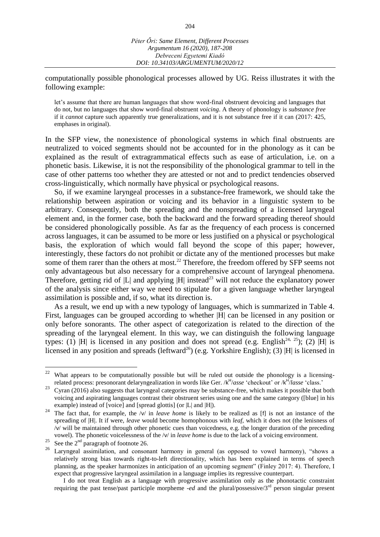computationally possible phonological processes allowed by UG. Reiss illustrates it with the following example:

let's assume that there are human languages that show word-final obstruent devoicing and languages that do not, but no languages that show word-final obstruent *voicing*. A theory of phonology is *substance free* if it *cannot* capture such apparently true generalizations, and it is not substance free if it can (2017: 425, emphases in original).

In the SFP view, the nonexistence of phonological systems in which final obstruents are neutralized to voiced segments should not be accounted for in the phonology as it can be explained as the result of extragrammatical effects such as ease of articulation, i.e. on a phonetic basis. Likewise, it is not the responsibility of the phonological grammar to tell in the case of other patterns too whether they are attested or not and to predict tendencies observed cross-linguistically, which normally have physical or psychological reasons.

So, if we examine laryngeal processes in a substance-free framework, we should take the relationship between aspiration or voicing and its behavior in a linguistic system to be arbitrary. Consequently, both the spreading and the nonspreading of a licensed laryngeal element and, in the former case, both the backward and the forward spreading thereof should be considered phonologically possible. As far as the frequency of each process is concerned across languages, it can be assumed to be more or less justified on a physical or psychological basis, the exploration of which would fall beyond the scope of this paper; however, interestingly, these factors do not prohibit or dictate any of the mentioned processes but make some of them rarer than the others at most.<sup>22</sup> Therefore, the freedom offered by SFP seems not only advantageous but also necessary for a comprehensive account of laryngeal phenomena. Therefore, getting rid of  $|L|$  and applying  $|H|$  instead<sup>23</sup> will not reduce the explanatory power of the analysis since either way we need to stipulate for a given language whether laryngeal assimilation is possible and, if so, what its direction is.

As a result, we end up with a new typology of languages, which is summarized in Table 4. First, languages can be grouped according to whether |H| can be licensed in any position or only before sonorants. The other aspect of categorization is related to the direction of the spreading of the laryngeal element. In this way, we can distinguish the following language types: (1) |H| is licensed in any position and does not spread (e.g. English<sup>24, 25</sup>); (2) |H| is licensed in any position and spreads (leftward<sup>26</sup>) (e.g. Yorkshire English); (3) |H| is licensed in

<sup>22</sup> What appears to be computationally possible but will be ruled out outside the phonology is a licensingrelated process: presonorant delaryngealization in words like Ger. /k H /*asse* 'checkout' or /k H /*lasse* 'class.'

<sup>&</sup>lt;sup>23</sup> Cyran (2016) also suggests that laryngeal categories may be substance-free, which makes it possible that both voicing and aspirating languages contrast their obstruent series using one and the same category ([blue] in his example) instead of [voice] and [spread glottis] (or |L| and |H|).

<sup>&</sup>lt;sup>24</sup> The fact that, for example, the /v/ in *leave home* is likely to be realized as [f] is not an instance of the spreading of |H|. It if were, *leave* would become homophonous with *leaf*, which it does not (the lenisness of /v/ will be maintained through other phonetic cues than voicedness, e.g. the longer duration of the preceding vowel). The phonetic voicelessness of the /v/ in *leave home* is due to the lack of a voicing environment.

<sup>&</sup>lt;sup>25</sup> See the  $2<sup>nd</sup>$  paragraph of footnote 26.

Laryngeal assimilation, and consonant harmony in general (as opposed to vowel harmony), "shows a relatively strong bias towards right-to-left directionality, which has been explained in terms of speech planning, as the speaker harmonizes in anticipation of an upcoming segment" (Finley 2017: 4). Therefore, I expect that progressive laryngeal assimilation in a language implies its regressive counterpart.

I do not treat English as a language with progressive assimilation only as the phonotactic constraint requiring the past tense/past participle morpheme *-ed* and the plural/possessive/3rd person singular present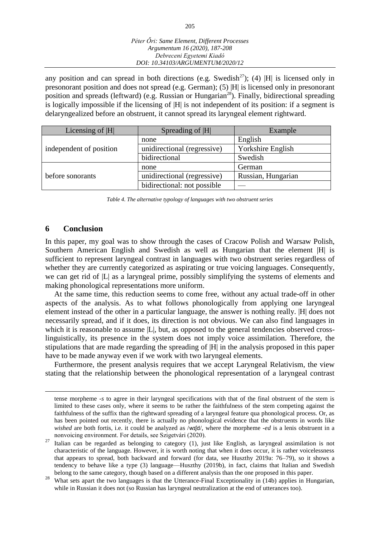any position and can spread in both directions (e.g. Swedish<sup>27</sup>); (4) |H| is licensed only in presonorant position and does not spread (e.g. German); (5) |H| is licensed only in presonorant position and spreads (leftward) (e.g. Russian or Hungarian<sup>28</sup>). Finally, bidirectional spreading is logically impossible if the licensing of |H| is not independent of its position: if a segment is delaryngealized before an obstruent, it cannot spread its laryngeal element rightward.

| Licensing of  H         | Spreading of  H             | Example            |
|-------------------------|-----------------------------|--------------------|
|                         | none                        | English            |
| independent of position | unidirectional (regressive) | Yorkshire English  |
|                         | bidirectional               | Swedish            |
|                         | none                        | German             |
| before sonorants        | unidirectional (regressive) | Russian, Hungarian |
|                         | bidirectional: not possible |                    |

*Table 4. The alternative typology of languages with two obstruent series*

#### **6 Conclusion**

 $\overline{a}$ 

In this paper, my goal was to show through the cases of Cracow Polish and Warsaw Polish, Southern American English and Swedish as well as Hungarian that the element |H| is sufficient to represent laryngeal contrast in languages with two obstruent series regardless of whether they are currently categorized as aspirating or true voicing languages. Consequently, we can get rid of |L| as a laryngeal prime, possibly simplifying the systems of elements and making phonological representations more uniform.

At the same time, this reduction seems to come free, without any actual trade-off in other aspects of the analysis. As to what follows phonologically from applying one laryngeal element instead of the other in a particular language, the answer is nothing really. |H| does not necessarily spread, and if it does, its direction is not obvious. We can also find languages in which it is reasonable to assume  $|L|$ , but, as opposed to the general tendencies observed crosslinguistically, its presence in the system does not imply voice assimilation. Therefore, the stipulations that are made regarding the spreading of |H| in the analysis proposed in this paper have to be made anyway even if we work with two laryngeal elements.

Furthermore, the present analysis requires that we accept Laryngeal Relativism, the view stating that the relationship between the phonological representation of a laryngeal contrast

tense morpheme *-s* to agree in their laryngeal specifications with that of the final obstruent of the stem is limited to these cases only, where it seems to be rather the faithfulness of the stem competing against the faithfulness of the suffix than the rightward spreading of a laryngeal feature qua phonological process. Or, as has been pointed out recently, there is actually no phonological evidence that the obstruents in words like *wished* are both fortis, i.e. it could be analyzed as /wɪ[d/, where the morpheme *-ed* is a lenis obstruent in a nonvoicing environment. For details, see Szigetvári (2020).

<sup>&</sup>lt;sup>27</sup> Italian can be regarded as belonging to category (1), just like English, as laryngeal assimilation is not characteristic of the language. However, it is worth noting that when it does occur, it is rather voicelessness that appears to spread, both backward and forward (for data, see Huszthy 2019a: 76–79), so it shows a tendency to behave like a type (3) language—Huszthy (2019b), in fact, claims that Italian and Swedish belong to the same category, though based on a different analysis than the one proposed in this paper.

<sup>&</sup>lt;sup>28</sup> What sets apart the two languages is that the Utterance-Final Exceptionality in (14b) applies in Hungarian, while in Russian it does not (so Russian has laryngeal neutralization at the end of utterances too).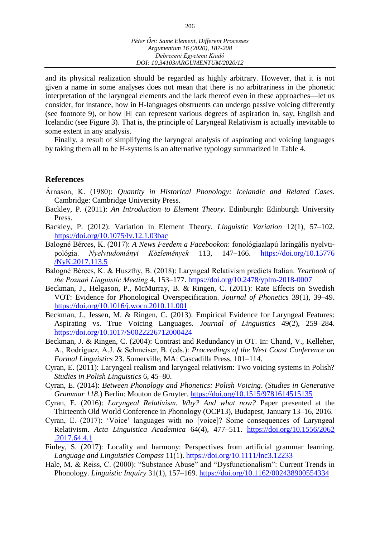and its physical realization should be regarded as highly arbitrary. However, that it is not given a name in some analyses does not mean that there is no arbitrariness in the phonetic interpretation of the laryngeal elements and the lack thereof even in these approaches—let us consider, for instance, how in H-languages obstruents can undergo passive voicing differently (see footnote 9), or how |H| can represent various degrees of aspiration in, say, English and Icelandic (see Figure 3). That is, the principle of Laryngeal Relativism is actually inevitable to some extent in any analysis.

Finally, a result of simplifying the laryngeal analysis of aspirating and voicing languages by taking them all to be H-systems is an alternative typology summarized in Table 4.

#### **References**

- Árnason, K. (1980): *Quantity in Historical Phonology: Icelandic and Related Cases*. Cambridge: Cambridge University Press.
- Backley, P. (2011): *An Introduction to Element Theory*. Edinburgh: Edinburgh University Press.
- Backley, P. (2012): Variation in Element Theory. *Linguistic Variation* 12(1), 57–102. <https://doi.org/10.1075/lv.12.1.03bac>
- Balogné Bérces, K. (2017): *A News Feedem a Facebookon*: fonológiaalapú laringális nyelvtipológia. *Nyelvtudományi Közlemények* 113, 147–166. [https://doi.org/10.15776](https://doi.org/10.15776/NyK.2017.113.5) [/NyK.2017.113.5](https://doi.org/10.15776/NyK.2017.113.5)
- Balogné Bérces, K. & Huszthy, B. (2018): Laryngeal Relativism predicts Italian. *Yearbook of the Poznań Linguistic Meeting* 4, 153–177.<https://doi.org/10.2478/yplm-2018-0007>
- Beckman, J., Helgason, P., McMurray, B. & Ringen, C. (2011): Rate Effects on Swedish VOT: Evidence for Phonological Overspecification. *Journal of Phonetics* 39(1), 39–49. <https://doi.org/10.1016/j.wocn.2010.11.001>
- Beckman, J., Jessen, M. & Ringen, C. (2013): Empirical Evidence for Laryngeal Features: Aspirating vs. True Voicing Languages. *Journal of Linguistics* 49(2), 259–284. <https://doi.org/10.1017/S0022226712000424>
- Beckman, J. & Ringen, C. (2004): Contrast and Redundancy in OT. In: Chand, V., Kelleher, A., Rodríguez, A.J. & Schmeiser, B. (eds.): *Proceedings of the West Coast Conference on Formal Linguistics* 23. Somerville, MA: Cascadilla Press, 101–114.
- Cyran, E. (2011): Laryngeal realism and laryngeal relativism: Two voicing systems in Polish? *Studies in Polish Linguistics* 6, 45–80.
- Cyran, E. (2014): *Between Phonology and Phonetics: Polish Voicing*. (*Studies in Generative Grammar 118*.) Berlin: Mouton de Gruyter.<https://doi.org/10.1515/9781614515135>
- Cyran, E. (2016): *Laryngeal Relativism. Why? And what now?* Paper presented at the Thirteenth Old World Conference in Phonology (OCP13), Budapest, January 13–16, 2016.
- Cyran, E. (2017): 'Voice' languages with no [voice]? Some consequences of Laryngeal Relativism. *Acta Linguistica Academica* 64(4), 477–511. [https://doi.org/10.1556/2062](https://doi.org/10.1556/2062.2017.64.4.1) [.2017.64.4.1](https://doi.org/10.1556/2062.2017.64.4.1)
- Finley, S. (2017): Locality and harmony: Perspectives from artificial grammar learning. *Language and Linguistics Compass* 11(1). <https://doi.org/10.1111/lnc3.12233>
- Hale, M. & Reiss, C. (2000): "Substance Abuse" and "Dysfunctionalism": Current Trends in Phonology. *Linguistic Inquiry* 31(1), 157–169. <https://doi.org/10.1162/002438900554334>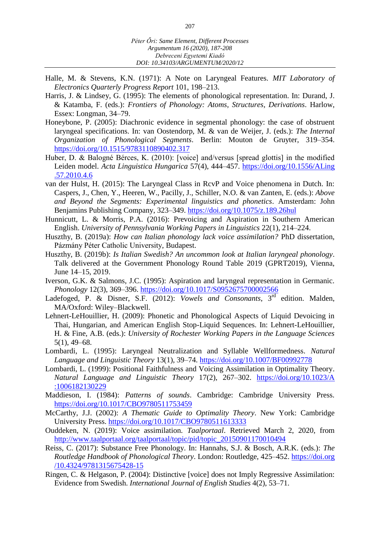- Halle, M. & Stevens, K.N. (1971): A Note on Laryngeal Features. *MIT Laboratory of Electronics Quarterly Progress Report* 101, 198–213.
- Harris, J. & Lindsey, G. (1995): The elements of phonological representation. In: Durand, J. & Katamba, F. (eds.): *Frontiers of Phonology: Atoms, Structures, Derivations*. Harlow, Essex: Longman, 34–79.
- Honeybone, P. (2005): Diachronic evidence in segmental phonology: the case of obstruent laryngeal specifications. In: van Oostendorp, M. & van de Weijer, J. (eds.): *The Internal Organization of Phonological Segments*. Berlin: Mouton de Gruyter, 319–354. <https://doi.org/10.1515/9783110890402.317>
- Huber, D. & Balogné Bérces, K. (2010): [voice] and/versus [spread glottis] in the modified Leiden model. *Acta Linguistica Hungarica* 57(4), 444–457. [https://doi.org/10.1556/ALing](https://doi.org/10.1556/ALing.57.2010.4.6) [.57.2010.4.6](https://doi.org/10.1556/ALing.57.2010.4.6)
- van der Hulst, H. (2015): The Laryngeal Class in RcvP and Voice phenomena in Dutch. In: Caspers, J., Chen, Y., Heeren, W., Pacilly, J., Schiller, N.O. & van Zanten, E. (eds.): *Above and Beyond the Segments: Experimental linguistics and phonetics*. Amsterdam: John Benjamins Publishing Company, 323–349.<https://doi.org/10.1075/z.189.26hul>
- Hunnicutt, L. & Morris, P.A. (2016): Prevoicing and Aspiration in Southern American English. *University of Pennsylvania Working Papers in Linguistics* 22(1), 214–224.
- Huszthy, B. (2019a): *How can Italian phonology lack voice assimilation?* PhD dissertation, Pázmány Péter Catholic University, Budapest.
- Huszthy, B. (2019b): *Is Italian Swedish? An uncommon look at Italian laryngeal phonology*. Talk delivered at the Government Phonology Round Table 2019 (GPRT2019), Vienna, June 14–15, 2019.
- Iverson, G.K. & Salmons, J.C. (1995): Aspiration and laryngeal representation in Germanic. *Phonology* 12(3), 369–396. <https://doi.org/10.1017/S0952675700002566>
- Ladefoged, P. & Disner, S.F. (2012): *Vowels and Consonants*, 3<sup>rd</sup> edition. Malden, MA/Oxford: Wiley–Blackwell.
- Lehnert-LeHouillier, H. (2009): Phonetic and Phonological Aspects of Liquid Devoicing in Thai, Hungarian, and American English Stop-Liquid Sequences. In: Lehnert-LeHouillier, H. & Fine, A.B. (eds.): *University of Rochester Working Papers in the Language Sciences* 5(1), 49–68.
- Lombardi, L. (1995): Laryngeal Neutralization and Syllable Wellformedness. *Natural Language and Linguistic Theory* 13(1), 39–74. <https://doi.org/10.1007/BF00992778>
- Lombardi, L. (1999): Positional Faithfulness and Voicing Assimilation in Optimality Theory. *Natural Language and Linguistic Theory* 17(2), 267–302. [https://doi.org/10.1023/A](https://doi.org/10.1023/A:1006182130229) [:1006182130229](https://doi.org/10.1023/A:1006182130229)
- Maddieson, I. (1984): *Patterns of sounds*. Cambridge: Cambridge University Press. <https://doi.org/10.1017/CBO9780511753459>
- McCarthy, J.J. (2002): *A Thematic Guide to Optimality Theory*. New York: Cambridge University Press. <https://doi.org/10.1017/CBO9780511613333>
- Ouddeken, N. (2019): Voice assimilation. *Taalportaal*. Retrieved March 2, 2020, from [http://www.taalportaal.org/taalportaal/topic/pid/topic\\_20150901170010494](http://www.taalportaal.org/taalportaal/topic/pid/topic_20150901170010494)
- Reiss, C. (2017): Substance Free Phonology. In: Hannahs, S.J. & Bosch, A.R.K. (eds.): *The Routledge Handbook of Phonological Theory*. London: Routledge, 425–452. [https://doi.org](https://doi.org/10.4324/9781315675428-15) [/10.4324/9781315675428-15](https://doi.org/10.4324/9781315675428-15)
- Ringen, C. & Helgason, P. (2004): Distinctive [voice] does not Imply Regressive Assimilation: Evidence from Swedish. *International Journal of English Studies* 4(2), 53–71.